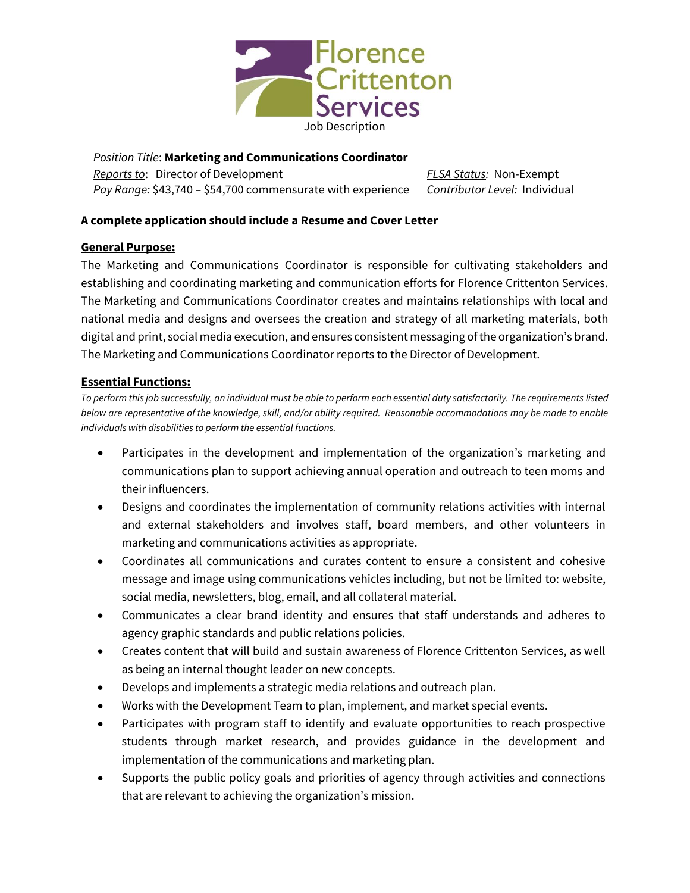

*Position Title*: **Marketing and Communications Coordinator** *Reports to*: Director of Development *Pay Range:* \$43,740 – \$54,700 commensurate with experience *Contributor Level:* Individual

*FLSA Status:* Non-Exempt

# **A complete application should include a Resume and Cover Letter**

#### **General Purpose:**

The Marketing and Communications Coordinator is responsible for cultivating stakeholders and establishing and coordinating marketing and communication efforts for Florence Crittenton Services. The Marketing and Communications Coordinator creates and maintains relationships with local and national media and designs and oversees the creation and strategy of all marketing materials, both digital and print, social media execution, and ensures consistent messaging of the organization's brand. The Marketing and Communications Coordinator reports to the Director of Development.

### **Essential Functions:**

*To perform this job successfully, an individual must be able to perform each essential duty satisfactorily. The requirements listed below are representative of the knowledge, skill, and/or ability required. Reasonable accommodations may be made to enable individuals with disabilities to perform the essential functions.*

- Participates in the development and implementation of the organization's marketing and communications plan to support achieving annual operation and outreach to teen moms and their influencers.
- Designs and coordinates the implementation of community relations activities with internal and external stakeholders and involves staff, board members, and other volunteers in marketing and communications activities as appropriate.
- Coordinates all communications and curates content to ensure a consistent and cohesive message and image using communications vehicles including, but not be limited to: website, social media, newsletters, blog, email, and all collateral material.
- Communicates a clear brand identity and ensures that staff understands and adheres to agency graphic standards and public relations policies.
- Creates content that will build and sustain awareness of Florence Crittenton Services, as well as being an internal thought leader on new concepts.
- Develops and implements a strategic media relations and outreach plan.
- Works with the Development Team to plan, implement, and market special events.
- Participates with program staff to identify and evaluate opportunities to reach prospective students through market research, and provides guidance in the development and implementation of the communications and marketing plan.
- Supports the public policy goals and priorities of agency through activities and connections that are relevant to achieving the organization's mission.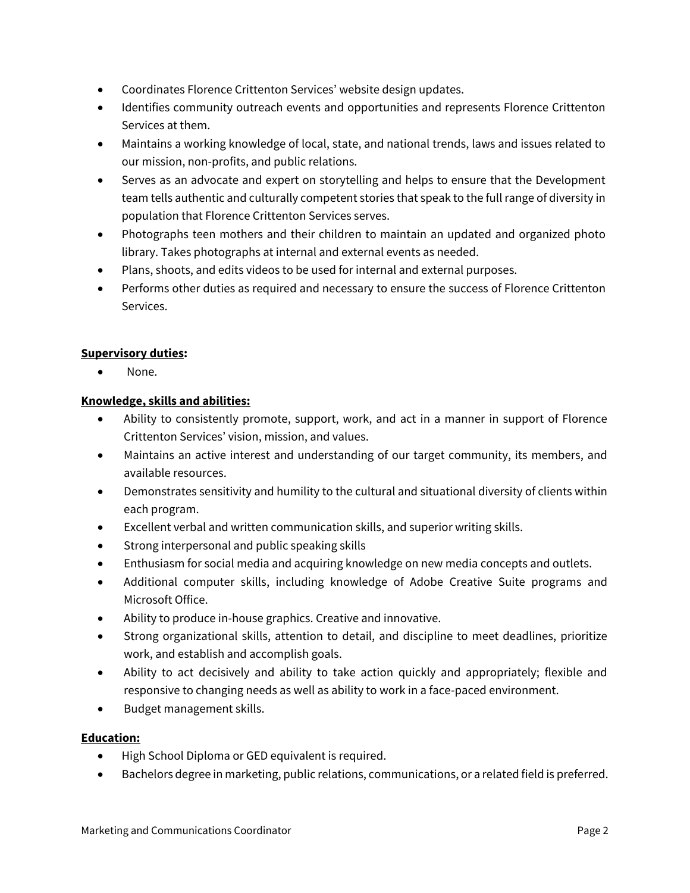- Coordinates Florence Crittenton Services' website design updates.
- Identifies community outreach events and opportunities and represents Florence Crittenton Services at them.
- Maintains a working knowledge of local, state, and national trends, laws and issues related to our mission, non-profits, and public relations.
- Serves as an advocate and expert on storytelling and helps to ensure that the Development team tells authentic and culturally competent stories that speak to the full range of diversity in population that Florence Crittenton Services serves.
- Photographs teen mothers and their children to maintain an updated and organized photo library. Takes photographs at internal and external events as needed.
- Plans, shoots, and edits videos to be used for internal and external purposes.
- Performs other duties as required and necessary to ensure the success of Florence Crittenton Services.

## **Supervisory duties:**

None.

## **Knowledge, skills and abilities:**

- Ability to consistently promote, support, work, and act in a manner in support of Florence Crittenton Services' vision, mission, and values.
- Maintains an active interest and understanding of our target community, its members, and available resources.
- Demonstrates sensitivity and humility to the cultural and situational diversity of clients within each program.
- Excellent verbal and written communication skills, and superior writing skills.
- Strong interpersonal and public speaking skills
- Enthusiasm for social media and acquiring knowledge on new media concepts and outlets.
- Additional computer skills, including knowledge of Adobe Creative Suite programs and Microsoft Office.
- Ability to produce in-house graphics. Creative and innovative.
- Strong organizational skills, attention to detail, and discipline to meet deadlines, prioritize work, and establish and accomplish goals.
- Ability to act decisively and ability to take action quickly and appropriately; flexible and responsive to changing needs as well as ability to work in a face-paced environment.
- Budget management skills.

# **Education:**

- High School Diploma or GED equivalent is required.
- Bachelors degree in marketing, public relations, communications, or a related field is preferred.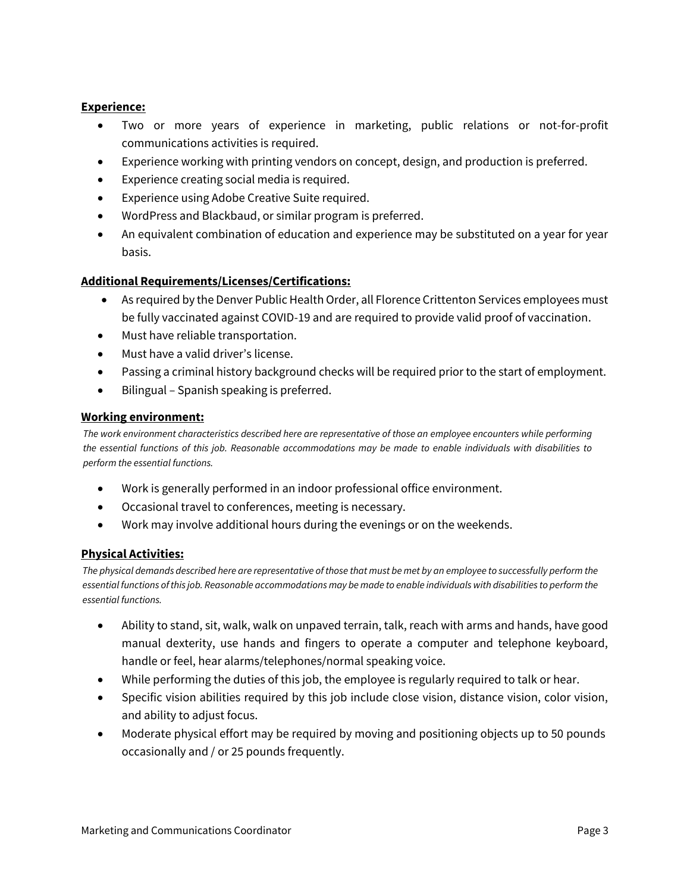#### **Experience:**

- Two or more years of experience in marketing, public relations or not-for-profit communications activities is required.
- Experience working with printing vendors on concept, design, and production is preferred.
- Experience creating social media is required.
- Experience using Adobe Creative Suite required.
- WordPress and Blackbaud, or similar program is preferred.
- An equivalent combination of education and experience may be substituted on a year for year basis.

#### **Additional Requirements/Licenses/Certifications:**

- As required by the Denver Public Health Order, all Florence Crittenton Services employees must be fully vaccinated against COVID-19 and are required to provide valid proof of vaccination.
- Must have reliable transportation.
- Must have a valid driver's license.
- Passing a criminal history background checks will be required prior to the start of employment.
- Bilingual Spanish speaking is preferred.

#### **Working environment:**

*The work environment characteristics described here are representative of those an employee encounters while performing the essential functions of this job. Reasonable accommodations may be made to enable individuals with disabilities to perform the essential functions.*

- Work is generally performed in an indoor professional office environment.
- Occasional travel to conferences, meeting is necessary.
- Work may involve additional hours during the evenings or on the weekends.

### **Physical Activities:**

*The physical demands described here are representative of those that must be met by an employee to successfully perform the essential functions of this job. Reasonable accommodations may be made to enable individuals with disabilities to perform the essential functions.*

- Ability to stand, sit, walk, walk on unpaved terrain, talk, reach with arms and hands, have good manual dexterity, use hands and fingers to operate a computer and telephone keyboard, handle or feel, hear alarms/telephones/normal speaking voice.
- While performing the duties of this job, the employee is regularly required to talk or hear.
- Specific vision abilities required by this job include close vision, distance vision, color vision, and ability to adjust focus.
- Moderate physical effort may be required by moving and positioning objects up to 50 pounds occasionally and / or 25 pounds frequently.